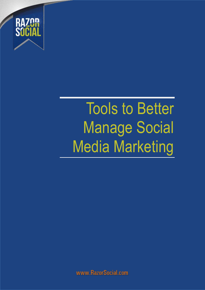

## Tools to Better Manage Social Media Marketing

www.RazorSocial.com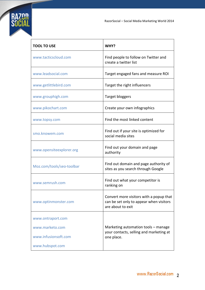

| <b>TOOL TO USE</b>        | WHY?                                                                                                    |
|---------------------------|---------------------------------------------------------------------------------------------------------|
| www.tacticscloud.com      | Find people to follow on Twitter and<br>create a twitter list                                           |
| www.leadsocial.com        | Target engaged fans and measure ROI                                                                     |
| www.getlittlebird.com     | Target the right influencers                                                                            |
| www.grouphigh.com         | Target bloggers                                                                                         |
| www.pikochart.com         | Create your own infographics                                                                            |
| www.topsy.com             | Find the most linked content                                                                            |
| smo.knowem.com            | Find out if your site is optimized for<br>social media sites                                            |
| www.opensiteexplorer.org  | Find out your domain and page<br>authority                                                              |
| Moz.com/tools/seo-toolbar | Find out domain and page authority of<br>sites as you search through Google                             |
| www.semrush.com           | Find out what your competitor is<br>ranking on                                                          |
| www.optinmonster.com      | Convert more visitors with a popup that<br>can be set only to appear when visitors<br>are about to exit |
| www.ontraport.com         |                                                                                                         |
| www.marketo.com           | Marketing automation tools - manage                                                                     |
| www.infusionsoft.com      | your contacts, selling and marketing at<br>one place.                                                   |
| www.hubspot.com           |                                                                                                         |